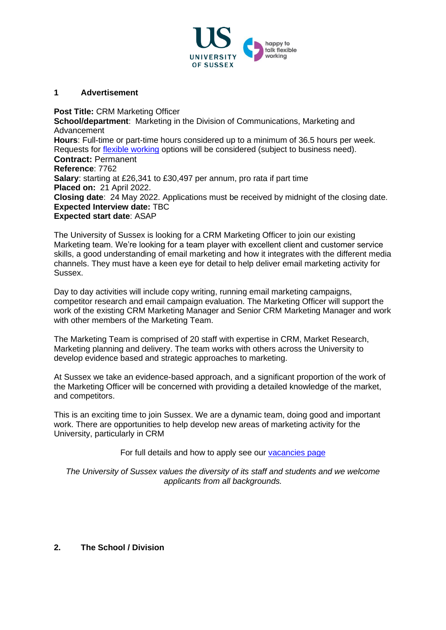

#### **1 Advertisement**

**Post Title:** CRM Marketing Officer **School/department**: Marketing in the Division of Communications, Marketing and Advancement **Hours**: Full-time or part-time hours considered up to a minimum of 36.5 hours per week. Requests for [flexible working](http://www.sussex.ac.uk/humanresources/personnel/flexible-working) options will be considered (subject to business need). **Contract:** Permanent **Reference**: 7762 **Salary**: starting at £26,341 to £30,497 per annum, pro rata if part time **Placed on:** 21 April 2022. **Closing date**: 24 May 2022. Applications must be received by midnight of the closing date. **Expected Interview date:** TBC **Expected start date**: ASAP

The University of Sussex is looking for a CRM Marketing Officer to join our existing Marketing team. We're looking for a team player with excellent client and customer service skills, a good understanding of email marketing and how it integrates with the different media channels. They must have a keen eye for detail to help deliver email marketing activity for Sussex.

Day to day activities will include copy writing, running email marketing campaigns, competitor research and email campaign evaluation. The Marketing Officer will support the work of the existing CRM Marketing Manager and Senior CRM Marketing Manager and work with other members of the Marketing Team.

The Marketing Team is comprised of 20 staff with expertise in CRM, Market Research, Marketing planning and delivery. The team works with others across the University to develop evidence based and strategic approaches to marketing.

At Sussex we take an evidence-based approach, and a significant proportion of the work of the Marketing Officer will be concerned with providing a detailed knowledge of the market, and competitors.

This is an exciting time to join Sussex. We are a dynamic team, doing good and important work. There are opportunities to help develop new areas of marketing activity for the University, particularly in CRM

For full details and how to apply see our [vacancies page](http://www.sussex.ac.uk/about/jobs)

*The University of Sussex values the diversity of its staff and students and we welcome applicants from all backgrounds.*

### **2. The School / Division**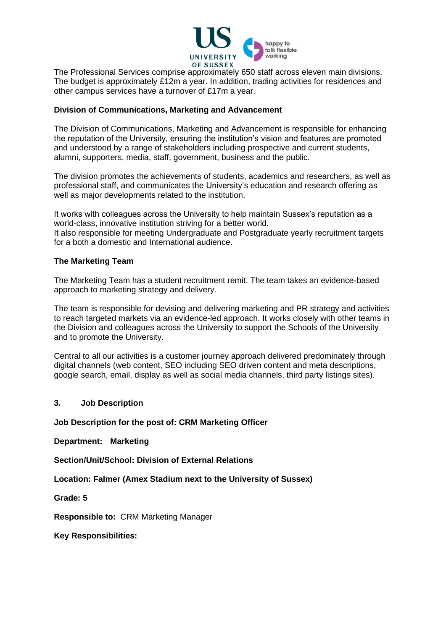

The Professional Services comprise approximately 650 staff across eleven main divisions. The budget is approximately £12m a year. In addition, trading activities for residences and other campus services have a turnover of £17m a year.

### **Division of Communications, Marketing and Advancement**

The Division of Communications, Marketing and Advancement is responsible for enhancing the reputation of the University, ensuring the institution's vision and features are promoted and understood by a range of stakeholders including prospective and current students, alumni, supporters, media, staff, government, business and the public.

The division promotes the achievements of students, academics and researchers, as well as professional staff, and communicates the University's education and research offering as well as major developments related to the institution.

It works with colleagues across the University to help maintain Sussex's reputation as a world-class, innovative institution striving for a better world. It also responsible for meeting Undergraduate and Postgraduate yearly recruitment targets for a both a domestic and International audience.

#### **The Marketing Team**

The Marketing Team has a student recruitment remit. The team takes an evidence-based approach to marketing strategy and delivery.

The team is responsible for devising and delivering marketing and PR strategy and activities to reach targeted markets via an evidence-led approach. It works closely with other teams in the Division and colleagues across the University to support the Schools of the University and to promote the University.

Central to all our activities is a customer journey approach delivered predominately through digital channels (web content, SEO including SEO driven content and meta descriptions, google search, email, display as well as social media channels, third party listings sites).

#### **3. Job Description**

**Job Description for the post of: CRM Marketing Officer**

**Department: Marketing**

**Section/Unit/School: Division of External Relations**

**Location: Falmer (Amex Stadium next to the University of Sussex)**

**Grade: 5**

**Responsible to:** CRM Marketing Manager

**Key Responsibilities:**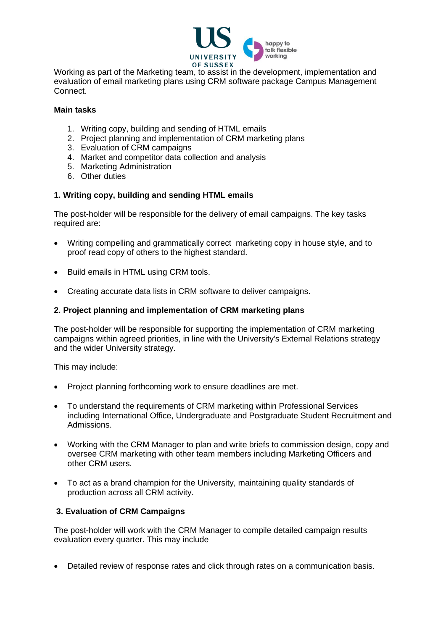

Working as part of the Marketing team, to assist in the development, implementation and evaluation of email marketing plans using CRM software package Campus Management Connect.

#### **Main tasks**

- 1. Writing copy, building and sending of HTML emails
- 2. Project planning and implementation of CRM marketing plans
- 3. Evaluation of CRM campaigns
- 4. Market and competitor data collection and analysis
- 5. Marketing Administration
- 6. Other duties

## **1. Writing copy, building and sending HTML emails**

The post-holder will be responsible for the delivery of email campaigns. The key tasks required are:

- Writing compelling and grammatically correct marketing copy in house style, and to proof read copy of others to the highest standard.
- Build emails in HTML using CRM tools.
- Creating accurate data lists in CRM software to deliver campaigns.

## **2. Project planning and implementation of CRM marketing plans**

The post-holder will be responsible for supporting the implementation of CRM marketing campaigns within agreed priorities, in line with the University's External Relations strategy and the wider University strategy.

This may include:

- Project planning forthcoming work to ensure deadlines are met.
- To understand the requirements of CRM marketing within Professional Services including International Office, Undergraduate and Postgraduate Student Recruitment and Admissions.
- Working with the CRM Manager to plan and write briefs to commission design, copy and oversee CRM marketing with other team members including Marketing Officers and other CRM users.
- To act as a brand champion for the University, maintaining quality standards of production across all CRM activity.

# **3. Evaluation of CRM Campaigns**

The post-holder will work with the CRM Manager to compile detailed campaign results evaluation every quarter. This may include

• Detailed review of response rates and click through rates on a communication basis.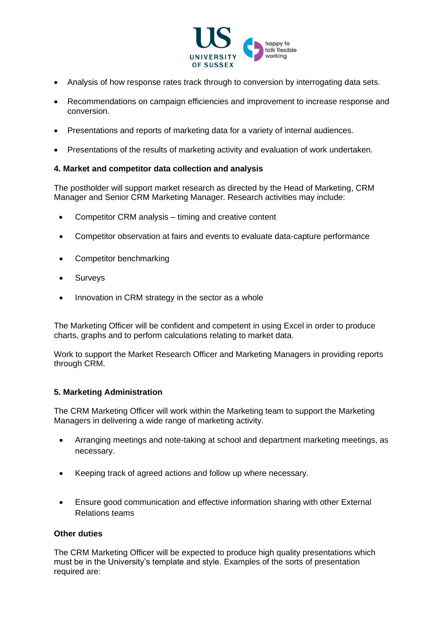

- Analysis of how response rates track through to conversion by interrogating data sets.
- Recommendations on campaign efficiencies and improvement to increase response and conversion.
- Presentations and reports of marketing data for a variety of internal audiences.
- Presentations of the results of marketing activity and evaluation of work undertaken.

## **4. Market and competitor data collection and analysis**

The postholder will support market research as directed by the Head of Marketing, CRM Manager and Senior CRM Marketing Manager. Research activities may include:

- Competitor CRM analysis timing and creative content
- Competitor observation at fairs and events to evaluate data-capture performance
- Competitor benchmarking
- Surveys
- Innovation in CRM strategy in the sector as a whole

The Marketing Officer will be confident and competent in using Excel in order to produce charts, graphs and to perform calculations relating to market data.

Work to support the Market Research Officer and Marketing Managers in providing reports through CRM.

### **5. Marketing Administration**

The CRM Marketing Officer will work within the Marketing team to support the Marketing Managers in delivering a wide range of marketing activity.

- Arranging meetings and note-taking at school and department marketing meetings, as necessary.
- Keeping track of agreed actions and follow up where necessary.
- Ensure good communication and effective information sharing with other External Relations teams

### **Other duties**

The CRM Marketing Officer will be expected to produce high quality presentations which must be in the University's template and style. Examples of the sorts of presentation required are: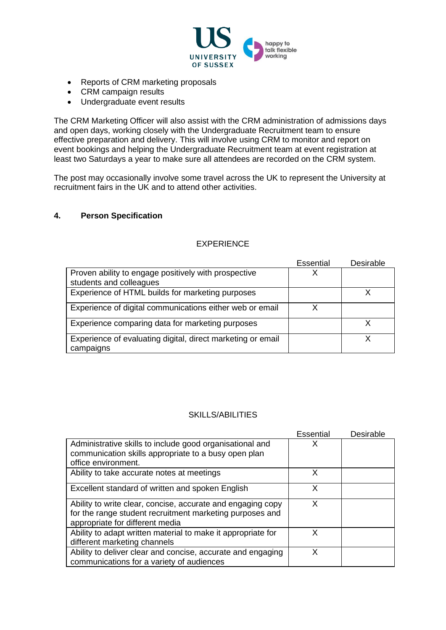

- Reports of CRM marketing proposals
- CRM campaign results
- Undergraduate event results

The CRM Marketing Officer will also assist with the CRM administration of admissions days and open days, working closely with the Undergraduate Recruitment team to ensure effective preparation and delivery. This will involve using CRM to monitor and report on event bookings and helping the Undergraduate Recruitment team at event registration at least two Saturdays a year to make sure all attendees are recorded on the CRM system.

The post may occasionally involve some travel across the UK to represent the University at recruitment fairs in the UK and to attend other activities.

## **4. Person Specification**

## EXPERIENCE

|                                                                                 | Essential | Desirable |
|---------------------------------------------------------------------------------|-----------|-----------|
| Proven ability to engage positively with prospective<br>students and colleagues | Χ         |           |
| Experience of HTML builds for marketing purposes                                |           |           |
| Experience of digital communications either web or email                        | χ         |           |
| Experience comparing data for marketing purposes                                |           |           |
| Experience of evaluating digital, direct marketing or email<br>campaigns        |           |           |

### SKILLS/ABILITIES

|                                                              | <b>Essential</b> | Desirable |
|--------------------------------------------------------------|------------------|-----------|
| Administrative skills to include good organisational and     | х                |           |
| communication skills appropriate to a busy open plan         |                  |           |
| office environment.                                          |                  |           |
| Ability to take accurate notes at meetings                   | X                |           |
| Excellent standard of written and spoken English             | x                |           |
| Ability to write clear, concise, accurate and engaging copy  | x                |           |
| for the range student recruitment marketing purposes and     |                  |           |
| appropriate for different media                              |                  |           |
| Ability to adapt written material to make it appropriate for | x                |           |
| different marketing channels                                 |                  |           |
| Ability to deliver clear and concise, accurate and engaging  | x                |           |
| communications for a variety of audiences                    |                  |           |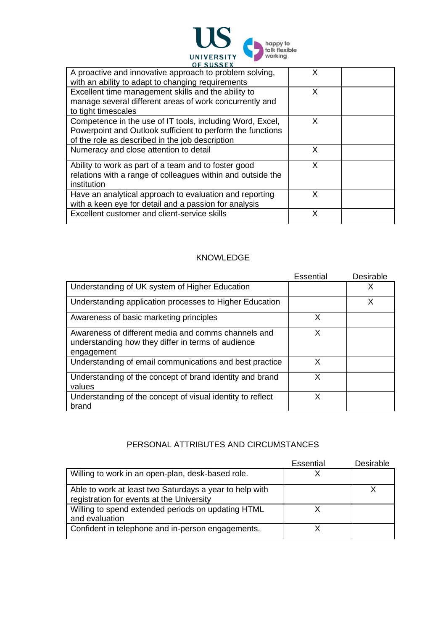

| A proactive and innovative approach to problem solving,                                                                            | x |  |
|------------------------------------------------------------------------------------------------------------------------------------|---|--|
| with an ability to adapt to changing requirements                                                                                  |   |  |
| Excellent time management skills and the ability to                                                                                | X |  |
| manage several different areas of work concurrently and                                                                            |   |  |
| to tight timescales                                                                                                                |   |  |
| Competence in the use of IT tools, including Word, Excel,                                                                          | X |  |
| Powerpoint and Outlook sufficient to perform the functions                                                                         |   |  |
| of the role as described in the job description                                                                                    |   |  |
| Numeracy and close attention to detail                                                                                             | X |  |
| Ability to work as part of a team and to foster good<br>relations with a range of colleagues within and outside the<br>institution | X |  |
| Have an analytical approach to evaluation and reporting<br>with a keen eye for detail and a passion for analysis                   | x |  |
| Excellent customer and client-service skills                                                                                       | х |  |

### KNOWLEDGE

|                                                                                                                         | Essential | Desirable |
|-------------------------------------------------------------------------------------------------------------------------|-----------|-----------|
| Understanding of UK system of Higher Education                                                                          |           | x         |
| Understanding application processes to Higher Education                                                                 |           | x         |
| Awareness of basic marketing principles                                                                                 | X         |           |
| Awareness of different media and comms channels and<br>understanding how they differ in terms of audience<br>engagement | X         |           |
| Understanding of email communications and best practice                                                                 | x         |           |
| Understanding of the concept of brand identity and brand<br>values                                                      | X         |           |
| Understanding of the concept of visual identity to reflect<br>brand                                                     | x         |           |

# PERSONAL ATTRIBUTES AND CIRCUMSTANCES

|                                                                                                      | Essential | Desirable |
|------------------------------------------------------------------------------------------------------|-----------|-----------|
| Willing to work in an open-plan, desk-based role.                                                    |           |           |
| Able to work at least two Saturdays a year to help with<br>registration for events at the University |           |           |
| Willing to spend extended periods on updating HTML<br>and evaluation                                 |           |           |
| Confident in telephone and in-person engagements.                                                    |           |           |